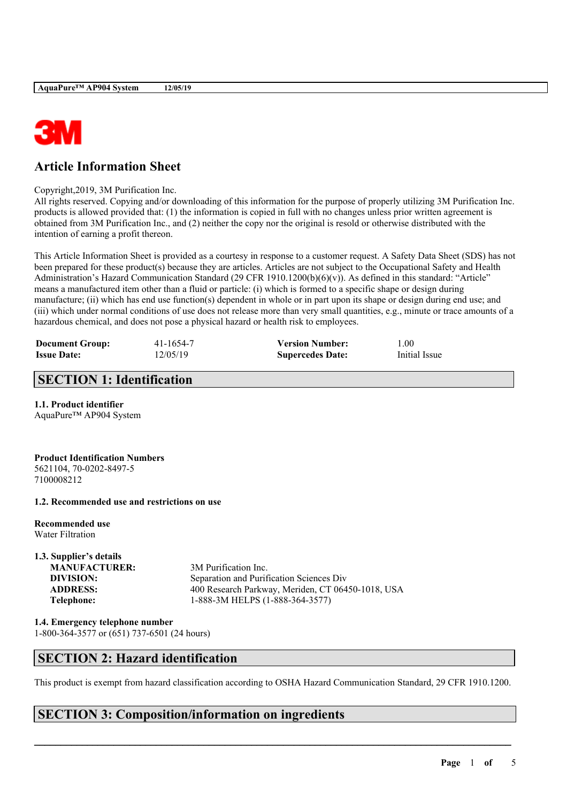

# **Article Information Sheet**

#### Copyright,2019, 3M Purification Inc.

All rights reserved. Copying and/or downloading of this information for the purpose of properly utilizing 3M Purification Inc. products is allowed provided that: (1) the information is copied in full with no changes unless prior written agreement is obtained from 3M Purification Inc., and (2) neither the copy nor the original is resold or otherwise distributed with the intention of earning a profit thereon.

This Article Information Sheet is provided as a courtesy in response to a customer request. A Safety Data Sheet (SDS) has not been prepared for these product(s) because they are articles. Articles are not subject to the Occupational Safety and Health Administration's Hazard Communication Standard (29 CFR 1910.1200(b)(6)(v)). As defined in this standard: "Article" means a manufactured item other than a fluid or particle: (i) which is formed to a specific shape or design during manufacture; (ii) which has end use function(s) dependent in whole or in part upon its shape or design during end use; and (iii) which under normal conditions of use does not release more than very small quantities, e.g., minute or trace amounts of a hazardous chemical, and does not pose a physical hazard or health risk to employees.

| <b>Document Group:</b> | 41-1654-7 | <b>Version Number:</b>  | 1.00          |
|------------------------|-----------|-------------------------|---------------|
| <b>Issue Date:</b>     | 12/05/19  | <b>Supercedes Date:</b> | Initial Issue |

### **SECTION 1: Identification**

### **1.1. Product identifier**

AquaPure™ AP904 System

#### **Product Identification Numbers** 5621104, 70-0202-8497-5 7100008212

### **1.2. Recommended use and restrictions on use**

**Recommended use** Water Filtration

# **1.3. Supplier's details**

**MANUFACTURER:** 3M Purification Inc.

**DIVISION:** Separation and Purification Sciences Div **ADDRESS:** 400 Research Parkway, Meriden, CT 06450-1018, USA **Telephone:** 1-888-3M HELPS (1-888-364-3577)

**1.4. Emergency telephone number** 1-800-364-3577 or (651) 737-6501 (24 hours)

## **SECTION 2: Hazard identification**

This product is exempt from hazard classification according to OSHA Hazard Communication Standard, 29 CFR 1910.1200.

 $\mathcal{L}_\mathcal{L} = \mathcal{L}_\mathcal{L} = \mathcal{L}_\mathcal{L} = \mathcal{L}_\mathcal{L} = \mathcal{L}_\mathcal{L} = \mathcal{L}_\mathcal{L} = \mathcal{L}_\mathcal{L} = \mathcal{L}_\mathcal{L} = \mathcal{L}_\mathcal{L} = \mathcal{L}_\mathcal{L} = \mathcal{L}_\mathcal{L} = \mathcal{L}_\mathcal{L} = \mathcal{L}_\mathcal{L} = \mathcal{L}_\mathcal{L} = \mathcal{L}_\mathcal{L} = \mathcal{L}_\mathcal{L} = \mathcal{L}_\mathcal{L}$ 

# **SECTION 3: Composition/information on ingredients**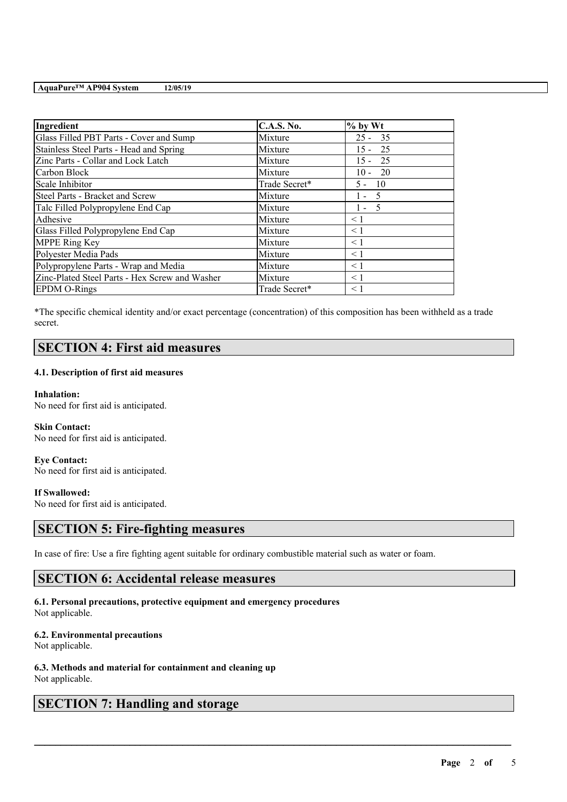| Ingredient                                     | <b>C.A.S. No.</b> | $%$ by Wt |
|------------------------------------------------|-------------------|-----------|
| Glass Filled PBT Parts - Cover and Sump        | Mixture           | $25 - 35$ |
| Stainless Steel Parts - Head and Spring        | Mixture           | $15 - 25$ |
| Zinc Parts - Collar and Lock Latch             | Mixture           | $15 - 25$ |
| Carbon Block                                   | Mixture           | $10 - 20$ |
| Scale Inhibitor                                | Trade Secret*     | $5 - 10$  |
| Steel Parts - Bracket and Screw                | Mixture           | $1 - 5$   |
| Talc Filled Polypropylene End Cap              | Mixture           | $1 - 5$   |
| Adhesive                                       | Mixture           | $\leq 1$  |
| Glass Filled Polypropylene End Cap             | Mixture           | $\leq 1$  |
| <b>MPPE Ring Key</b>                           | Mixture           | $\leq 1$  |
| Polyester Media Pads                           | Mixture           | $\leq 1$  |
| Polypropylene Parts - Wrap and Media           | Mixture           | < 1       |
| Zinc-Plated Steel Parts - Hex Screw and Washer | Mixture           | $\leq 1$  |
| <b>EPDM O-Rings</b>                            | Trade Secret*     | < 1       |

\*The specific chemical identity and/or exact percentage (concentration) of this composition has been withheld as a trade secret.

## **SECTION 4: First aid measures**

### **4.1. Description of first aid measures**

**Inhalation:** No need for first aid is anticipated.

**Skin Contact:** No need for first aid is anticipated.

**Eye Contact:** No need for first aid is anticipated.

**If Swallowed:**

No need for first aid is anticipated.

### **SECTION 5: Fire-fighting measures**

In case of fire: Use a fire fighting agent suitable for ordinary combustible material such as water or foam.

 $\mathcal{L}_\mathcal{L} = \mathcal{L}_\mathcal{L} = \mathcal{L}_\mathcal{L} = \mathcal{L}_\mathcal{L} = \mathcal{L}_\mathcal{L} = \mathcal{L}_\mathcal{L} = \mathcal{L}_\mathcal{L} = \mathcal{L}_\mathcal{L} = \mathcal{L}_\mathcal{L} = \mathcal{L}_\mathcal{L} = \mathcal{L}_\mathcal{L} = \mathcal{L}_\mathcal{L} = \mathcal{L}_\mathcal{L} = \mathcal{L}_\mathcal{L} = \mathcal{L}_\mathcal{L} = \mathcal{L}_\mathcal{L} = \mathcal{L}_\mathcal{L}$ 

## **SECTION 6: Accidental release measures**

### **6.1. Personal precautions, protective equipment and emergency procedures** Not applicable.

**6.2. Environmental precautions**

Not applicable.

**6.3. Methods and material for containment and cleaning up** Not applicable.

## **SECTION 7: Handling and storage**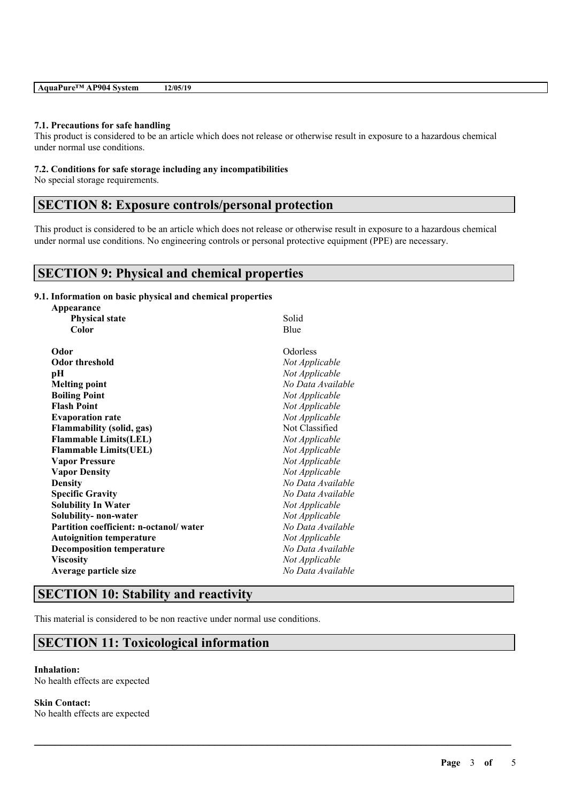|--|

#### **7.1. Precautions for safe handling**

This product is considered to be an article which does not release or otherwise result in exposure to a hazardous chemical under normal use conditions.

#### **7.2. Conditions for safe storage including any incompatibilities**

No special storage requirements.

## **SECTION 8: Exposure controls/personal protection**

This product is considered to be an article which does not release or otherwise result in exposure to a hazardous chemical under normal use conditions. No engineering controls or personal protective equipment (PPE) are necessary.

 $\mathcal{L}_\mathcal{L} = \mathcal{L}_\mathcal{L} = \mathcal{L}_\mathcal{L} = \mathcal{L}_\mathcal{L} = \mathcal{L}_\mathcal{L} = \mathcal{L}_\mathcal{L} = \mathcal{L}_\mathcal{L} = \mathcal{L}_\mathcal{L} = \mathcal{L}_\mathcal{L} = \mathcal{L}_\mathcal{L} = \mathcal{L}_\mathcal{L} = \mathcal{L}_\mathcal{L} = \mathcal{L}_\mathcal{L} = \mathcal{L}_\mathcal{L} = \mathcal{L}_\mathcal{L} = \mathcal{L}_\mathcal{L} = \mathcal{L}_\mathcal{L}$ 

### **SECTION 9: Physical and chemical properties**

### **9.1. Information on basic physical and chemical properties**

| Appearance                             |                   |  |
|----------------------------------------|-------------------|--|
| <b>Physical state</b>                  | Solid             |  |
| Color                                  | Blue              |  |
| Odor                                   | Odorless          |  |
| Odor threshold                         | Not Applicable    |  |
| рH                                     | Not Applicable    |  |
| <b>Melting point</b>                   | No Data Available |  |
| <b>Boiling Point</b>                   | Not Applicable    |  |
| <b>Flash Point</b>                     | Not Applicable    |  |
| <b>Evaporation rate</b>                | Not Applicable    |  |
| <b>Flammability (solid, gas)</b>       | Not Classified    |  |
| <b>Flammable Limits(LEL)</b>           | Not Applicable    |  |
| <b>Flammable Limits(UEL)</b>           | Not Applicable    |  |
| <b>Vapor Pressure</b>                  | Not Applicable    |  |
| <b>Vapor Density</b>                   | Not Applicable    |  |
| <b>Density</b>                         | No Data Available |  |
| <b>Specific Gravity</b>                | No Data Available |  |
| <b>Solubility In Water</b>             | Not Applicable    |  |
| Solubility- non-water                  | Not Applicable    |  |
| Partition coefficient: n-octanol/water | No Data Available |  |
| <b>Autoignition temperature</b>        | Not Applicable    |  |
| <b>Decomposition temperature</b>       | No Data Available |  |
| <b>Viscosity</b>                       | Not Applicable    |  |
| Average particle size                  | No Data Available |  |
|                                        |                   |  |

## **SECTION 10: Stability and reactivity**

This material is considered to be non reactive under normal use conditions.

### **SECTION 11: Toxicological information**

#### **Inhalation:** No health effects are expected

**Skin Contact:** No health effects are expected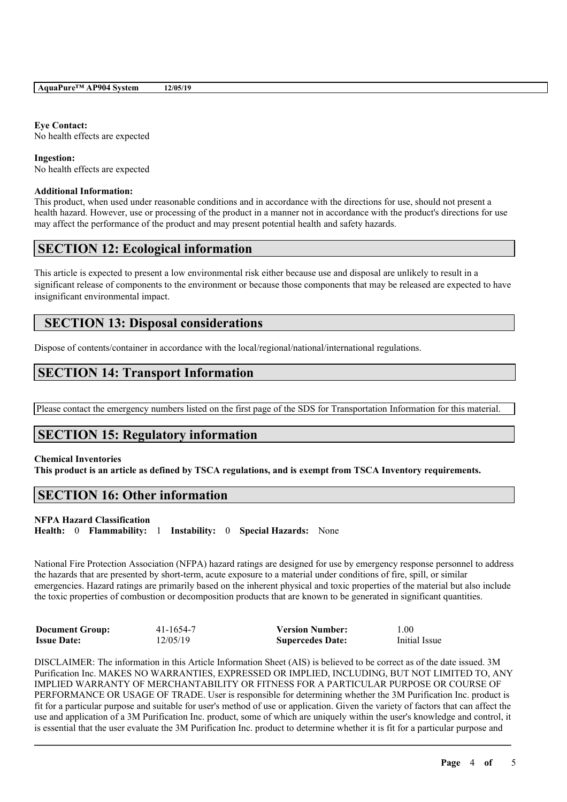# **Eye Contact:**

No health effects are expected

### **Ingestion:** No health effects are expected

### **Additional Information:**

This product, when used under reasonable conditions and in accordance with the directions for use, should not present a health hazard. However, use or processing of the product in a manner not in accordance with the product's directions for use may affect the performance of the product and may present potential health and safety hazards.

## **SECTION 12: Ecological information**

This article is expected to present a low environmental risk either because use and disposal are unlikely to result in a significant release of components to the environment or because those components that may be released are expected to have insignificant environmental impact.

## **SECTION 13: Disposal considerations**

Dispose of contents/container in accordance with the local/regional/national/international regulations.

# **SECTION 14: Transport Information**

Please contact the emergency numbers listed on the first page of the SDS for Transportation Information for this material.

## **SECTION 15: Regulatory information**

### **Chemical Inventories**

This product is an article as defined by TSCA regulations, and is exempt from TSCA Inventory requirements.

# **SECTION 16: Other information**

### **NFPA Hazard Classification**

**Health:** 0 **Flammability:** 1 **Instability:** 0 **Special Hazards:** None

National Fire Protection Association (NFPA) hazard ratings are designed for use by emergency response personnel to address the hazards that are presented by short-term, acute exposure to a material under conditions of fire, spill, or similar emergencies. Hazard ratings are primarily based on the inherent physical and toxic properties of the material but also include the toxic properties of combustion or decomposition products that are known to be generated in significant quantities.

| <b>Document Group:</b> | 41-1654-7 | <b>Version Number:</b>  | 1.00          |
|------------------------|-----------|-------------------------|---------------|
| <b>Issue Date:</b>     | 12/05/19  | <b>Supercedes Date:</b> | Initial Issue |

DISCLAIMER: The information in this Article Information Sheet (AIS) is believed to be correct as of the date issued. 3M Purification Inc. MAKES NO WARRANTIES, EXPRESSED OR IMPLIED, INCLUDING, BUT NOT LIMITED TO, ANY IMPLIED WARRANTY OF MERCHANTABILITY OR FITNESS FOR A PARTICULAR PURPOSE OR COURSE OF PERFORMANCE OR USAGE OF TRADE. User is responsible for determining whether the 3M Purification Inc. product is fit for a particular purpose and suitable for user's method of use or application. Given the variety of factors that can affect the use and application of a 3M Purification Inc. product, some of which are uniquely within the user's knowledge and control, it is essential that the user evaluate the 3M Purification Inc. product to determine whether it is fit for a particular purpose and

 $\mathcal{L}_\mathcal{L} = \mathcal{L}_\mathcal{L} = \mathcal{L}_\mathcal{L} = \mathcal{L}_\mathcal{L} = \mathcal{L}_\mathcal{L} = \mathcal{L}_\mathcal{L} = \mathcal{L}_\mathcal{L} = \mathcal{L}_\mathcal{L} = \mathcal{L}_\mathcal{L} = \mathcal{L}_\mathcal{L} = \mathcal{L}_\mathcal{L} = \mathcal{L}_\mathcal{L} = \mathcal{L}_\mathcal{L} = \mathcal{L}_\mathcal{L} = \mathcal{L}_\mathcal{L} = \mathcal{L}_\mathcal{L} = \mathcal{L}_\mathcal{L}$